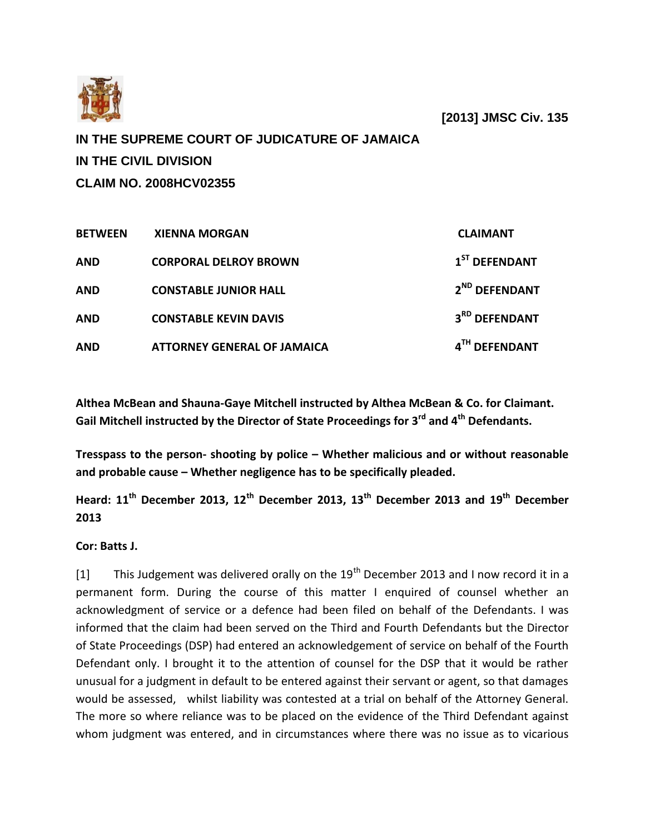

 **[2013] JMSC Civ. 135**

**IN THE SUPREME COURT OF JUDICATURE OF JAMAICA IN THE CIVIL DIVISION CLAIM NO. 2008HCV02355**

| <b>BETWEEN</b> | <b>XIENNA MORGAN</b>               | <b>CLAIMANT</b>           |
|----------------|------------------------------------|---------------------------|
| <b>AND</b>     | <b>CORPORAL DELROY BROWN</b>       | $1ST$ DEFENDANT           |
| <b>AND</b>     | <b>CONSTABLE JUNIOR HALL</b>       | 2 <sup>ND</sup> DEFENDANT |
| <b>AND</b>     | <b>CONSTABLE KEVIN DAVIS</b>       | 3 <sup>RD</sup> DEFENDANT |
| <b>AND</b>     | <b>ATTORNEY GENERAL OF JAMAICA</b> | 4TH DEFENDANT             |

**Althea McBean and Shauna-Gaye Mitchell instructed by Althea McBean & Co. for Claimant. Gail Mitchell instructed by the Director of State Proceedings for 3rd and 4th Defendants.**

**Tresspass to the person- shooting by police – Whether malicious and or without reasonable and probable cause – Whether negligence has to be specifically pleaded.**

**Heard: 11th December 2013, 12th December 2013, 13th December 2013 and 19th December 2013**

**Cor: Batts J.**

[1] This Judgement was delivered orally on the  $19<sup>th</sup>$  December 2013 and I now record it in a permanent form. During the course of this matter I enquired of counsel whether an acknowledgment of service or a defence had been filed on behalf of the Defendants. I was informed that the claim had been served on the Third and Fourth Defendants but the Director of State Proceedings (DSP) had entered an acknowledgement of service on behalf of the Fourth Defendant only. I brought it to the attention of counsel for the DSP that it would be rather unusual for a judgment in default to be entered against their servant or agent, so that damages would be assessed, whilst liability was contested at a trial on behalf of the Attorney General. The more so where reliance was to be placed on the evidence of the Third Defendant against whom judgment was entered, and in circumstances where there was no issue as to vicarious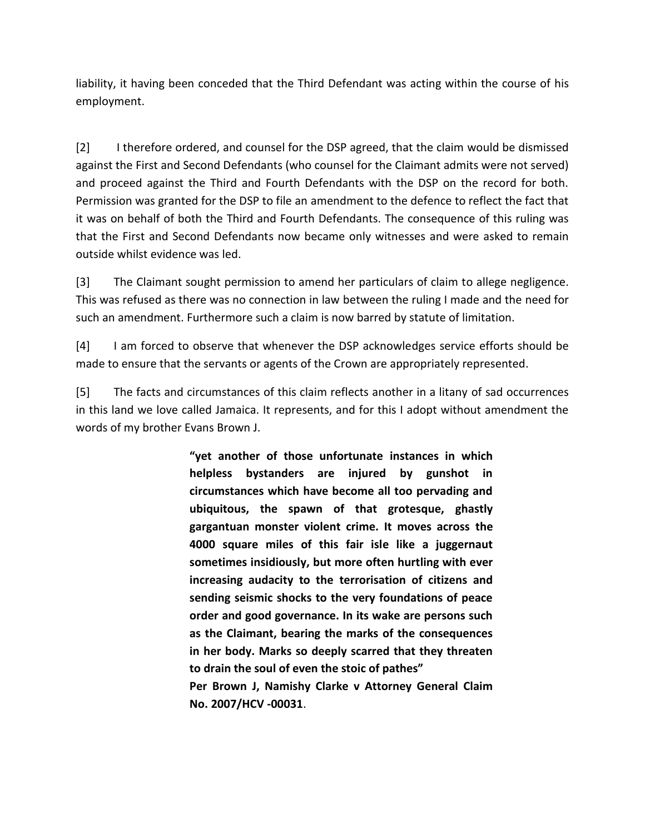liability, it having been conceded that the Third Defendant was acting within the course of his employment.

[2] I therefore ordered, and counsel for the DSP agreed, that the claim would be dismissed against the First and Second Defendants (who counsel for the Claimant admits were not served) and proceed against the Third and Fourth Defendants with the DSP on the record for both. Permission was granted for the DSP to file an amendment to the defence to reflect the fact that it was on behalf of both the Third and Fourth Defendants. The consequence of this ruling was that the First and Second Defendants now became only witnesses and were asked to remain outside whilst evidence was led.

[3] The Claimant sought permission to amend her particulars of claim to allege negligence. This was refused as there was no connection in law between the ruling I made and the need for such an amendment. Furthermore such a claim is now barred by statute of limitation.

[4] I am forced to observe that whenever the DSP acknowledges service efforts should be made to ensure that the servants or agents of the Crown are appropriately represented.

[5] The facts and circumstances of this claim reflects another in a litany of sad occurrences in this land we love called Jamaica. It represents, and for this I adopt without amendment the words of my brother Evans Brown J.

> **"yet another of those unfortunate instances in which helpless bystanders are injured by gunshot in circumstances which have become all too pervading and ubiquitous, the spawn of that grotesque, ghastly gargantuan monster violent crime. It moves across the 4000 square miles of this fair isle like a juggernaut sometimes insidiously, but more often hurtling with ever increasing audacity to the terrorisation of citizens and sending seismic shocks to the very foundations of peace order and good governance. In its wake are persons such as the Claimant, bearing the marks of the consequences in her body. Marks so deeply scarred that they threaten to drain the soul of even the stoic of pathes" Per Brown J, Namishy Clarke v Attorney General Claim**

**No. 2007/HCV -00031**.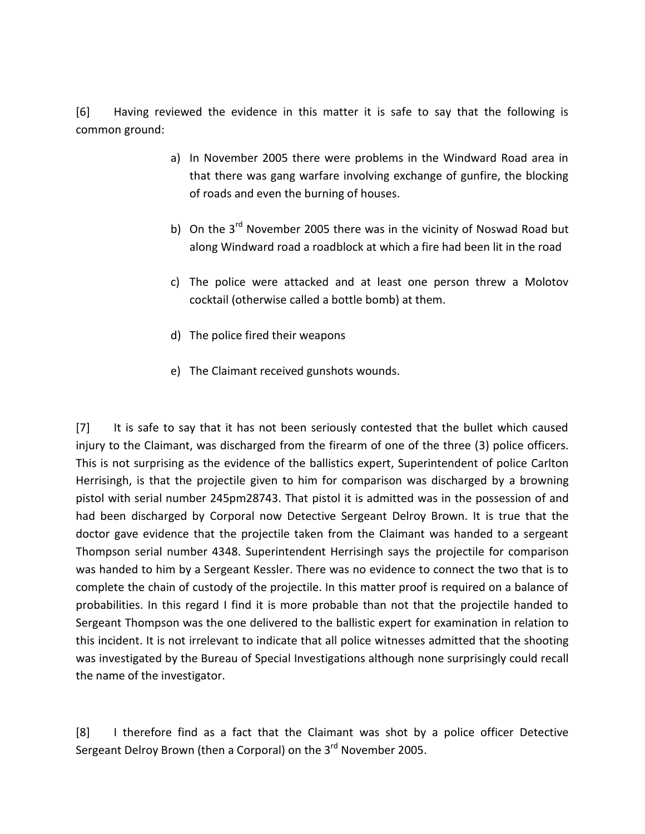[6] Having reviewed the evidence in this matter it is safe to say that the following is common ground:

- a) In November 2005 there were problems in the Windward Road area in that there was gang warfare involving exchange of gunfire, the blocking of roads and even the burning of houses.
- b) On the 3<sup>rd</sup> November 2005 there was in the vicinity of Noswad Road but along Windward road a roadblock at which a fire had been lit in the road
- c) The police were attacked and at least one person threw a Molotov cocktail (otherwise called a bottle bomb) at them.
- d) The police fired their weapons
- e) The Claimant received gunshots wounds.

[7] It is safe to say that it has not been seriously contested that the bullet which caused injury to the Claimant, was discharged from the firearm of one of the three (3) police officers. This is not surprising as the evidence of the ballistics expert, Superintendent of police Carlton Herrisingh, is that the projectile given to him for comparison was discharged by a browning pistol with serial number 245pm28743. That pistol it is admitted was in the possession of and had been discharged by Corporal now Detective Sergeant Delroy Brown. It is true that the doctor gave evidence that the projectile taken from the Claimant was handed to a sergeant Thompson serial number 4348. Superintendent Herrisingh says the projectile for comparison was handed to him by a Sergeant Kessler. There was no evidence to connect the two that is to complete the chain of custody of the projectile. In this matter proof is required on a balance of probabilities. In this regard I find it is more probable than not that the projectile handed to Sergeant Thompson was the one delivered to the ballistic expert for examination in relation to this incident. It is not irrelevant to indicate that all police witnesses admitted that the shooting was investigated by the Bureau of Special Investigations although none surprisingly could recall the name of the investigator.

[8] I therefore find as a fact that the Claimant was shot by a police officer Detective Sergeant Delroy Brown (then a Corporal) on the 3<sup>rd</sup> November 2005.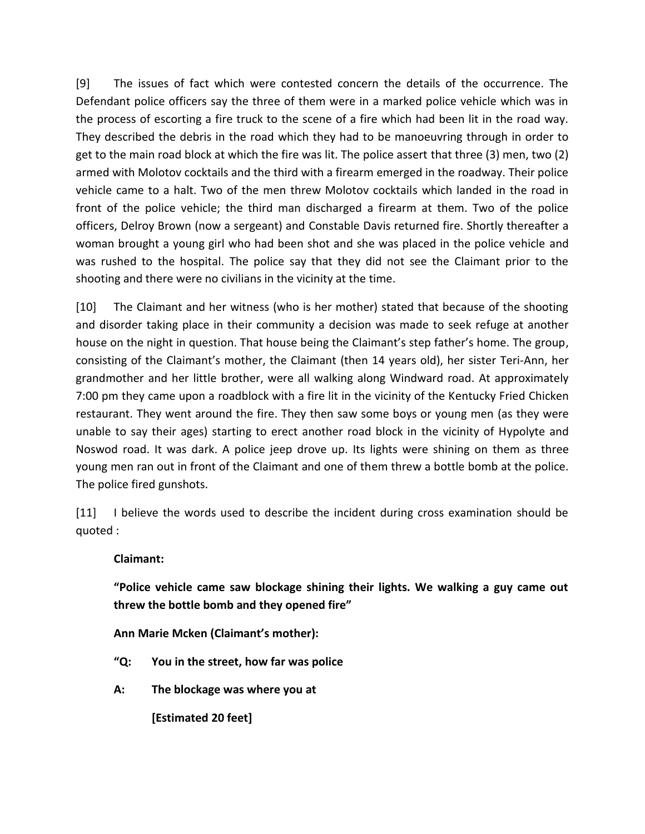[9] The issues of fact which were contested concern the details of the occurrence. The Defendant police officers say the three of them were in a marked police vehicle which was in the process of escorting a fire truck to the scene of a fire which had been lit in the road way. They described the debris in the road which they had to be manoeuvring through in order to get to the main road block at which the fire was lit. The police assert that three (3) men, two (2) armed with Molotov cocktails and the third with a firearm emerged in the roadway. Their police vehicle came to a halt. Two of the men threw Molotov cocktails which landed in the road in front of the police vehicle; the third man discharged a firearm at them. Two of the police officers, Delroy Brown (now a sergeant) and Constable Davis returned fire. Shortly thereafter a woman brought a young girl who had been shot and she was placed in the police vehicle and was rushed to the hospital. The police say that they did not see the Claimant prior to the shooting and there were no civilians in the vicinity at the time.

[10] The Claimant and her witness (who is her mother) stated that because of the shooting and disorder taking place in their community a decision was made to seek refuge at another house on the night in question. That house being the Claimant's step father's home. The group, consisting of the Claimant's mother, the Claimant (then 14 years old), her sister Teri-Ann, her grandmother and her little brother, were all walking along Windward road. At approximately 7:00 pm they came upon a roadblock with a fire lit in the vicinity of the Kentucky Fried Chicken restaurant. They went around the fire. They then saw some boys or young men (as they were unable to say their ages) starting to erect another road block in the vicinity of Hypolyte and Noswod road. It was dark. A police jeep drove up. Its lights were shining on them as three young men ran out in front of the Claimant and one of them threw a bottle bomb at the police. The police fired gunshots.

[11] I believe the words used to describe the incident during cross examination should be quoted :

## **Claimant:**

**"Police vehicle came saw blockage shining their lights. We walking a guy came out threw the bottle bomb and they opened fire"**

**Ann Marie Mcken (Claimant's mother):**

- **"Q: You in the street, how far was police**
- **A: The blockage was where you at**

**[Estimated 20 feet]**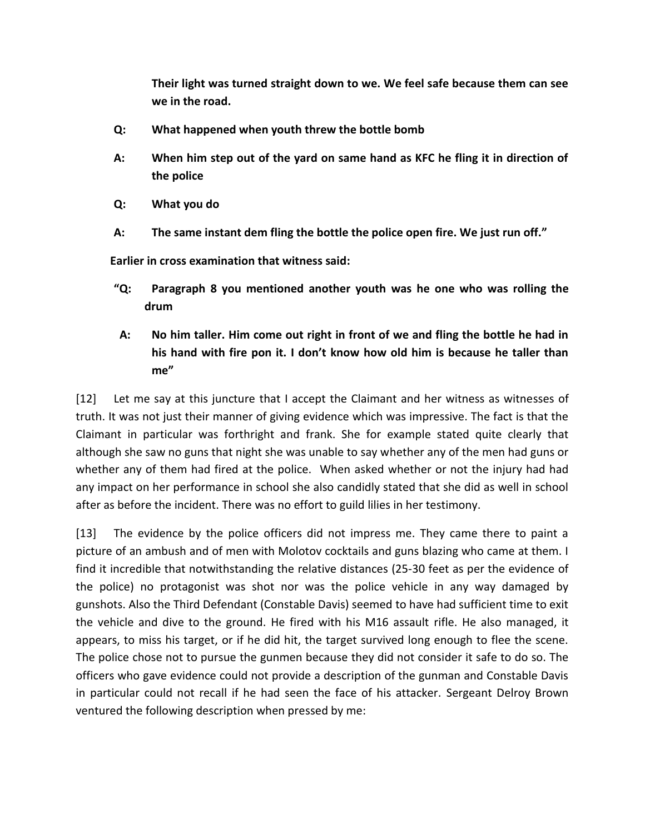**Their light was turned straight down to we. We feel safe because them can see we in the road.**

- **Q: What happened when youth threw the bottle bomb**
- **A: When him step out of the yard on same hand as KFC he fling it in direction of the police**
- **Q: What you do**
- **A: The same instant dem fling the bottle the police open fire. We just run off."**

 **Earlier in cross examination that witness said:**

- **"Q: Paragraph 8 you mentioned another youth was he one who was rolling the drum**
- **A: No him taller. Him come out right in front of we and fling the bottle he had in his hand with fire pon it. I don't know how old him is because he taller than me"**

[12] Let me say at this juncture that I accept the Claimant and her witness as witnesses of truth. It was not just their manner of giving evidence which was impressive. The fact is that the Claimant in particular was forthright and frank. She for example stated quite clearly that although she saw no guns that night she was unable to say whether any of the men had guns or whether any of them had fired at the police. When asked whether or not the injury had had any impact on her performance in school she also candidly stated that she did as well in school after as before the incident. There was no effort to guild lilies in her testimony.

[13] The evidence by the police officers did not impress me. They came there to paint a picture of an ambush and of men with Molotov cocktails and guns blazing who came at them. I find it incredible that notwithstanding the relative distances (25-30 feet as per the evidence of the police) no protagonist was shot nor was the police vehicle in any way damaged by gunshots. Also the Third Defendant (Constable Davis) seemed to have had sufficient time to exit the vehicle and dive to the ground. He fired with his M16 assault rifle. He also managed, it appears, to miss his target, or if he did hit, the target survived long enough to flee the scene. The police chose not to pursue the gunmen because they did not consider it safe to do so. The officers who gave evidence could not provide a description of the gunman and Constable Davis in particular could not recall if he had seen the face of his attacker. Sergeant Delroy Brown ventured the following description when pressed by me: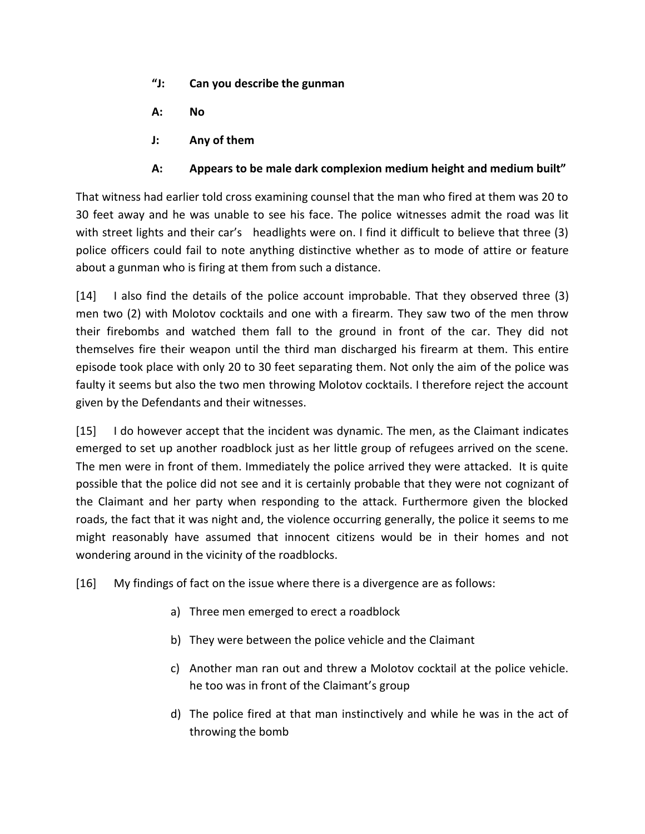- **"J: Can you describe the gunman**
- **A: No**
- **J: Any of them**

## **A: Appears to be male dark complexion medium height and medium built"**

That witness had earlier told cross examining counsel that the man who fired at them was 20 to 30 feet away and he was unable to see his face. The police witnesses admit the road was lit with street lights and their car's headlights were on. I find it difficult to believe that three (3) police officers could fail to note anything distinctive whether as to mode of attire or feature about a gunman who is firing at them from such a distance.

[14] I also find the details of the police account improbable. That they observed three (3) men two (2) with Molotov cocktails and one with a firearm. They saw two of the men throw their firebombs and watched them fall to the ground in front of the car. They did not themselves fire their weapon until the third man discharged his firearm at them. This entire episode took place with only 20 to 30 feet separating them. Not only the aim of the police was faulty it seems but also the two men throwing Molotov cocktails. I therefore reject the account given by the Defendants and their witnesses.

[15] I do however accept that the incident was dynamic. The men, as the Claimant indicates emerged to set up another roadblock just as her little group of refugees arrived on the scene. The men were in front of them. Immediately the police arrived they were attacked. It is quite possible that the police did not see and it is certainly probable that they were not cognizant of the Claimant and her party when responding to the attack. Furthermore given the blocked roads, the fact that it was night and, the violence occurring generally, the police it seems to me might reasonably have assumed that innocent citizens would be in their homes and not wondering around in the vicinity of the roadblocks.

[16] My findings of fact on the issue where there is a divergence are as follows:

- a) Three men emerged to erect a roadblock
- b) They were between the police vehicle and the Claimant
- c) Another man ran out and threw a Molotov cocktail at the police vehicle. he too was in front of the Claimant's group
- d) The police fired at that man instinctively and while he was in the act of throwing the bomb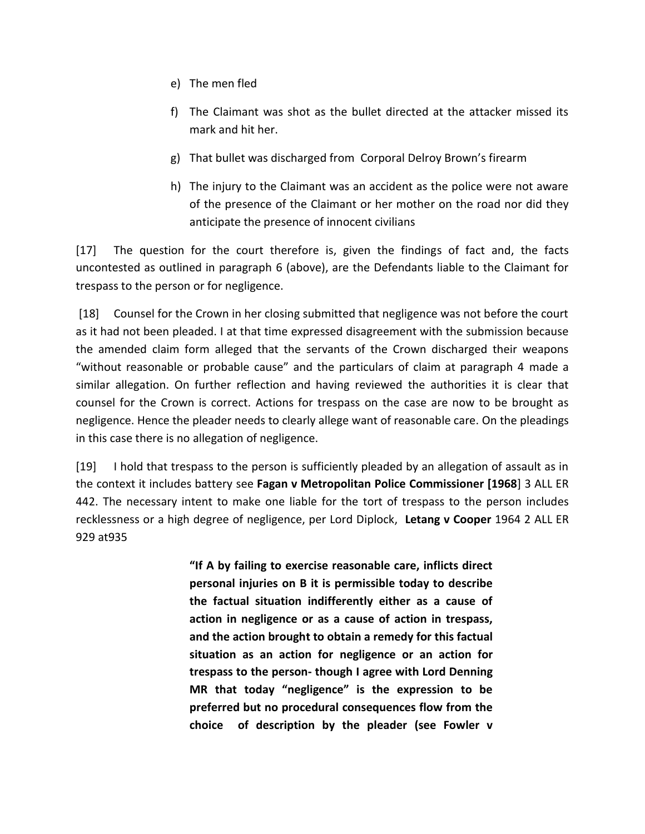- e) The men fled
- f) The Claimant was shot as the bullet directed at the attacker missed its mark and hit her.
- g) That bullet was discharged from Corporal Delroy Brown's firearm
- h) The injury to the Claimant was an accident as the police were not aware of the presence of the Claimant or her mother on the road nor did they anticipate the presence of innocent civilians

[17] The question for the court therefore is, given the findings of fact and, the facts uncontested as outlined in paragraph 6 (above), are the Defendants liable to the Claimant for trespass to the person or for negligence.

[18] Counsel for the Crown in her closing submitted that negligence was not before the court as it had not been pleaded. I at that time expressed disagreement with the submission because the amended claim form alleged that the servants of the Crown discharged their weapons "without reasonable or probable cause" and the particulars of claim at paragraph 4 made a similar allegation. On further reflection and having reviewed the authorities it is clear that counsel for the Crown is correct. Actions for trespass on the case are now to be brought as negligence. Hence the pleader needs to clearly allege want of reasonable care. On the pleadings in this case there is no allegation of negligence.

[19] I hold that trespass to the person is sufficiently pleaded by an allegation of assault as in the context it includes battery see **Fagan v Metropolitan Police Commissioner [1968**] 3 ALL ER 442. The necessary intent to make one liable for the tort of trespass to the person includes recklessness or a high degree of negligence, per Lord Diplock, **Letang v Cooper** 1964 2 ALL ER 929 at935

> **"If A by failing to exercise reasonable care, inflicts direct personal injuries on B it is permissible today to describe the factual situation indifferently either as a cause of action in negligence or as a cause of action in trespass, and the action brought to obtain a remedy for this factual situation as an action for negligence or an action for trespass to the person- though I agree with Lord Denning MR that today "negligence" is the expression to be preferred but no procedural consequences flow from the choice of description by the pleader (see Fowler v**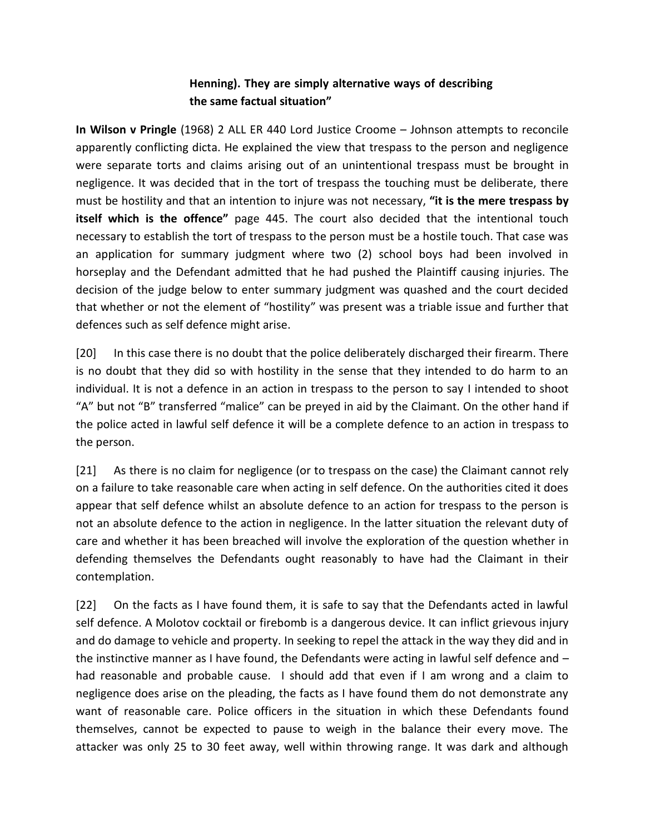## **Henning). They are simply alternative ways of describing the same factual situation"**

**In Wilson v Pringle** (1968) 2 ALL ER 440 Lord Justice Croome – Johnson attempts to reconcile apparently conflicting dicta. He explained the view that trespass to the person and negligence were separate torts and claims arising out of an unintentional trespass must be brought in negligence. It was decided that in the tort of trespass the touching must be deliberate, there must be hostility and that an intention to injure was not necessary, **"it is the mere trespass by itself which is the offence"** page 445. The court also decided that the intentional touch necessary to establish the tort of trespass to the person must be a hostile touch. That case was an application for summary judgment where two (2) school boys had been involved in horseplay and the Defendant admitted that he had pushed the Plaintiff causing injuries. The decision of the judge below to enter summary judgment was quashed and the court decided that whether or not the element of "hostility" was present was a triable issue and further that defences such as self defence might arise.

[20] In this case there is no doubt that the police deliberately discharged their firearm. There is no doubt that they did so with hostility in the sense that they intended to do harm to an individual. It is not a defence in an action in trespass to the person to say I intended to shoot "A" but not "B" transferred "malice" can be preyed in aid by the Claimant. On the other hand if the police acted in lawful self defence it will be a complete defence to an action in trespass to the person.

[21] As there is no claim for negligence (or to trespass on the case) the Claimant cannot rely on a failure to take reasonable care when acting in self defence. On the authorities cited it does appear that self defence whilst an absolute defence to an action for trespass to the person is not an absolute defence to the action in negligence. In the latter situation the relevant duty of care and whether it has been breached will involve the exploration of the question whether in defending themselves the Defendants ought reasonably to have had the Claimant in their contemplation.

[22] On the facts as I have found them, it is safe to say that the Defendants acted in lawful self defence. A Molotov cocktail or firebomb is a dangerous device. It can inflict grievous injury and do damage to vehicle and property. In seeking to repel the attack in the way they did and in the instinctive manner as I have found, the Defendants were acting in lawful self defence and – had reasonable and probable cause. I should add that even if I am wrong and a claim to negligence does arise on the pleading, the facts as I have found them do not demonstrate any want of reasonable care. Police officers in the situation in which these Defendants found themselves, cannot be expected to pause to weigh in the balance their every move. The attacker was only 25 to 30 feet away, well within throwing range. It was dark and although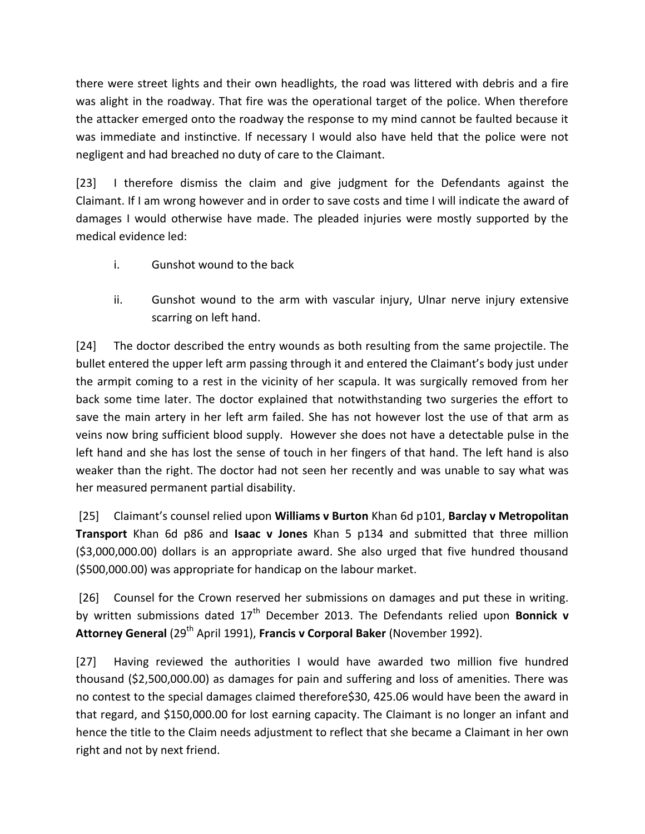there were street lights and their own headlights, the road was littered with debris and a fire was alight in the roadway. That fire was the operational target of the police. When therefore the attacker emerged onto the roadway the response to my mind cannot be faulted because it was immediate and instinctive. If necessary I would also have held that the police were not negligent and had breached no duty of care to the Claimant.

[23] I therefore dismiss the claim and give judgment for the Defendants against the Claimant. If I am wrong however and in order to save costs and time I will indicate the award of damages I would otherwise have made. The pleaded injuries were mostly supported by the medical evidence led:

- i. Gunshot wound to the back
- ii. Gunshot wound to the arm with vascular injury, Ulnar nerve injury extensive scarring on left hand.

[24] The doctor described the entry wounds as both resulting from the same projectile. The bullet entered the upper left arm passing through it and entered the Claimant's body just under the armpit coming to a rest in the vicinity of her scapula. It was surgically removed from her back some time later. The doctor explained that notwithstanding two surgeries the effort to save the main artery in her left arm failed. She has not however lost the use of that arm as veins now bring sufficient blood supply. However she does not have a detectable pulse in the left hand and she has lost the sense of touch in her fingers of that hand. The left hand is also weaker than the right. The doctor had not seen her recently and was unable to say what was her measured permanent partial disability.

[25] Claimant's counsel relied upon **Williams v Burton** Khan 6d p101, **Barclay v Metropolitan Transport** Khan 6d p86 and **Isaac v Jones** Khan 5 p134 and submitted that three million (\$3,000,000.00) dollars is an appropriate award. She also urged that five hundred thousand (\$500,000.00) was appropriate for handicap on the labour market.

[26] Counsel for the Crown reserved her submissions on damages and put these in writing. by written submissions dated 17<sup>th</sup> December 2013. The Defendants relied upon Bonnick v **Attorney General** (29th April 1991), **Francis v Corporal Baker** (November 1992).

[27] Having reviewed the authorities I would have awarded two million five hundred thousand (\$2,500,000.00) as damages for pain and suffering and loss of amenities. There was no contest to the special damages claimed therefore\$30, 425.06 would have been the award in that regard, and \$150,000.00 for lost earning capacity. The Claimant is no longer an infant and hence the title to the Claim needs adjustment to reflect that she became a Claimant in her own right and not by next friend.